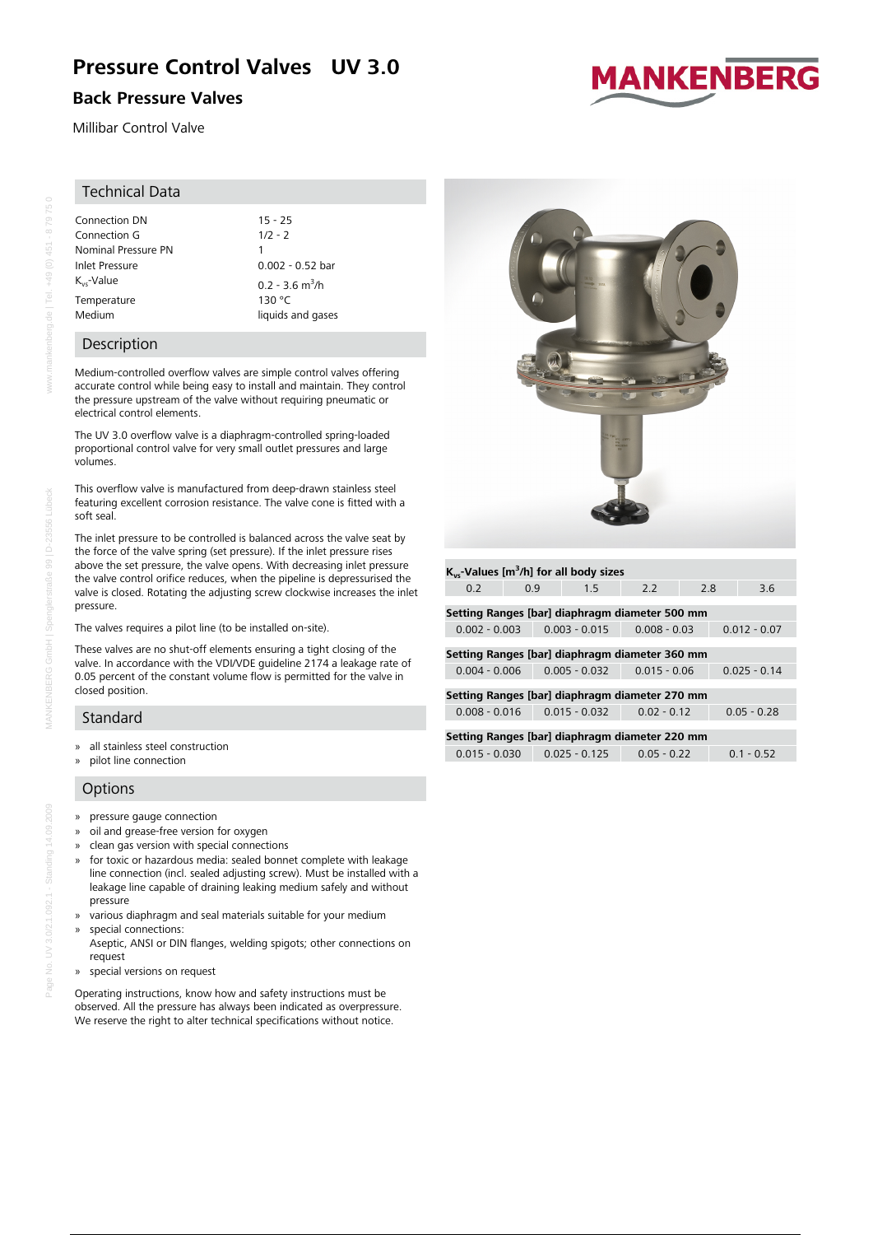# **Pressure Control Valves UV 3.0**

# **Back Pressure Valves**

Millibar Control Valve

# Technical Data

Connection DN 15 - 25<br>Connection G 1/2 - 2 Connection G Nominal Pressure PN 1<br>
Inlet Pressure 0  $K_{vs}$ -Value 0.2 - 3.6 m<sup>3</sup>/h Temperature 130 °C Medium liquids and gases

# $0.002 - 0.52$  bar

# Description

Medium-controlled overflow valves are simple control valves offering accurate control while being easy to install and maintain. They control the pressure upstream of the valve without requiring pneumatic or electrical control elements.

The UV 3.0 overflow valve is a diaphragm-controlled spring-loaded proportional control valve for very small outlet pressures and large volumes.

This overflow valve is manufactured from deep-drawn stainless steel featuring excellent corrosion resistance. The valve cone is fitted with a soft seal.

The inlet pressure to be controlled is balanced across the valve seat by the force of the valve spring (set pressure). If the inlet pressure rises above the set pressure, the valve opens. With decreasing inlet pressure the valve control orifice reduces, when the pipeline is depressurised the valve is closed. Rotating the adjusting screw clockwise increases the inlet pressure.

The valves requires a pilot line (to be installed on-site).

These valves are no shut-off elements ensuring a tight closing of the valve. In accordance with the VDI/VDE guideline 2174 a leakage rate of 0.05 percent of the constant volume flow is permitted for the valve in closed position.

# Standard

- » all stainless steel construction
- » pilot line connection

# **Options**

- » pressure gauge connection
- » oil and grease-free version for oxygen
- » clean gas version with special connections
- » for toxic or hazardous media: sealed bonnet complete with leakage line connection (incl. sealed adjusting screw). Must be installed with a leakage line capable of draining leaking medium safely and without pressure
- » various diaphragm and seal materials suitable for your medium » special connections:
- Aseptic, ANSI or DIN flanges, welding spigots; other connections on request
- » special versions on request

Operating instructions, know how and safety instructions must be observed. All the pressure has always been indicated as overpressure. We reserve the right to alter technical specifications without notice.



**Kvs-Values [m<sup>3</sup> /h] for all body sizes**



0.2 0.9 1.5 2.2 2.8 3.6

| <b>MANKENBERG</b> |  |  |  |
|-------------------|--|--|--|
|                   |  |  |  |
|                   |  |  |  |
|                   |  |  |  |

 $+49(0)$  451 - 879750